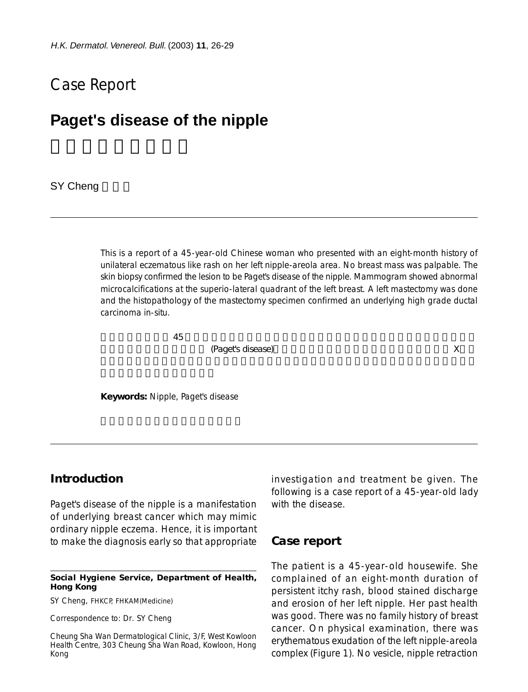# Case Report

# **Paget's disease of the nipple**

SY Cheng

This is a report of a 45-year-old Chinese woman who presented with an eight-month history of unilateral eczematous like rash on her left nipple-areola area. No breast mass was palpable. The skin biopsy confirmed the lesion to be Paget's disease of the nipple. Mammogram showed abnormal microcalcifications at the superio-lateral quadrant of the left breast. A left mastectomy was done and the histopathology of the mastectomy specimen confirmed an underlying high grade ductal carcinoma in-situ.

 $45$ 

實皮疹為乳頭乳暈炎性癌變 (Paget's disease)。病人隨後接受乳腺癌的有關檢查。乳腺軟性 X 光檢

**Keywords:** Nipple, Paget's disease

## **Introduction**

Paget's disease of the nipple is a manifestation of underlying breast cancer which may mimic ordinary nipple eczema. Hence, it is important to make the diagnosis early so that appropriate

#### **Social Hygiene Service, Department of Health, Hong Kong**

SY Cheng, FHKCP, FHKAM(Medicine)

Correspondence to: Dr. SY Cheng

Cheung Sha Wan Dermatological Clinic, 3/F, West Kowloon Health Centre, 303 Cheung Sha Wan Road, Kowloon, Hong Kong

investigation and treatment be given. The following is a case report of a 45-year-old lady with the disease.

### **Case report**

The patient is a 45-year-old housewife. She complained of an eight-month duration of persistent itchy rash, blood stained discharge and erosion of her left nipple. Her past health was good. There was no family history of breast cancer. On physical examination, there was erythematous exudation of the left nipple-areola complex (Figure 1). No vesicle, nipple retraction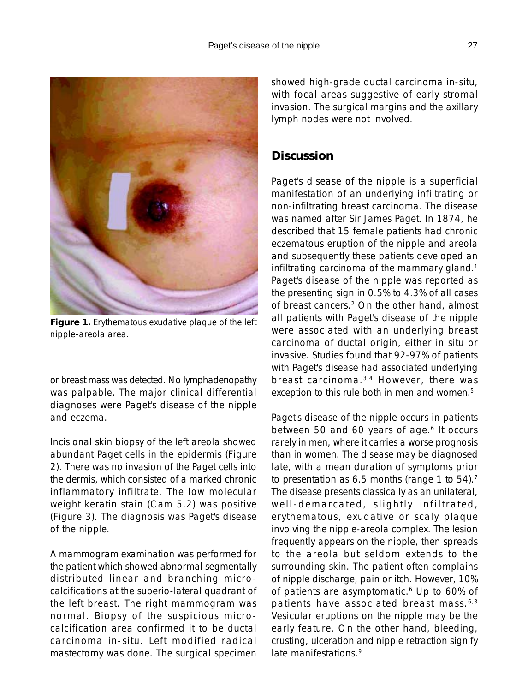

**Figure 1.** Erythematous exudative plaque of the left nipple-areola area.

or breast mass was detected. No lymphadenopathy was palpable. The major clinical differential diagnoses were Paget's disease of the nipple and eczema.

Incisional skin biopsy of the left areola showed abundant Paget cells in the epidermis (Figure 2). There was no invasion of the Paget cells into the dermis, which consisted of a marked chronic inflammatory infiltrate. The low molecular weight keratin stain (Cam 5.2) was positive (Figure 3). The diagnosis was Paget's disease of the nipple.

A mammogram examination was performed for the patient which showed abnormal segmentally distributed linear and branching microcalcifications at the superio-lateral quadrant of the left breast. The right mammogram was normal. Biopsy of the suspicious microcalcification area confirmed it to be ductal carcinoma in-situ. Left modified radical mastectomy was done. The surgical specimen showed high-grade ductal carcinoma in-situ, with focal areas suggestive of early stromal invasion. The surgical margins and the axillary lymph nodes were not involved.

# **Discussion**

Paget's disease of the nipple is a superficial manifestation of an underlying infiltrating or non-infiltrating breast carcinoma. The disease was named after Sir James Paget. In 1874, he described that 15 female patients had chronic eczematous eruption of the nipple and areola and subsequently these patients developed an infiltrating carcinoma of the mammary gland.<sup>1</sup> Paget's disease of the nipple was reported as the presenting sign in 0.5% to 4.3% of all cases of breast cancers.2 On the other hand, almost all patients with Paget's disease of the nipple were associated with an underlying breast carcinoma of ductal origin, either in situ or invasive. Studies found that 92-97% of patients with Paget's disease had associated underlying breast carcinoma. 3,4 However, there was exception to this rule both in men and women.<sup>5</sup>

Paget's disease of the nipple occurs in patients between 50 and 60 years of age.<sup>6</sup> It occurs rarely in men, where it carries a worse prognosis than in women. The disease may be diagnosed late, with a mean duration of symptoms prior to presentation as 6.5 months (range 1 to 54).<sup>7</sup> The disease presents classically as an unilateral, well-demarcated, slightly infiltrated, erythematous, exudative or scaly plaque involving the nipple-areola complex. The lesion frequently appears on the nipple, then spreads to the areola but seldom extends to the surrounding skin. The patient often complains of nipple discharge, pain or itch. However, 10% of patients are asymptomatic.<sup>6</sup> Up to 60% of patients have associated breast mass. 6,8 Vesicular eruptions on the nipple may be the early feature. On the other hand, bleeding, crusting, ulceration and nipple retraction signify late manifestations.9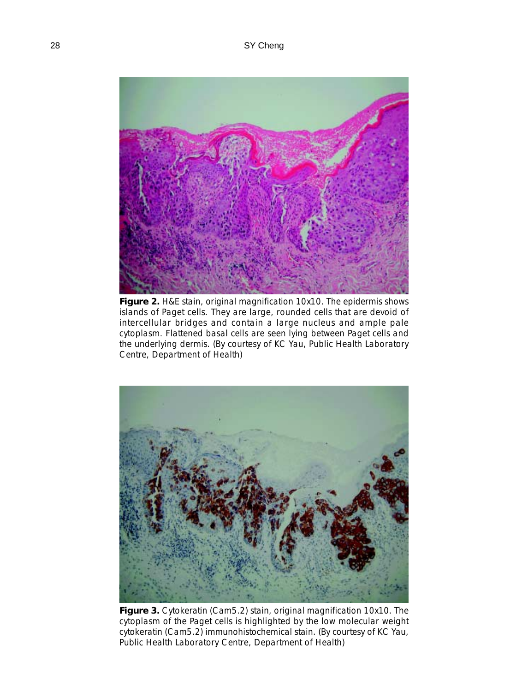

**Figure 2.** H&E stain, original magnification 10x10. The epidermis shows islands of Paget cells. They are large, rounded cells that are devoid of intercellular bridges and contain a large nucleus and ample pale cytoplasm. Flattened basal cells are seen lying between Paget cells and the underlying dermis. (By courtesy of KC Yau, Public Health Laboratory Centre, Department of Health)



**Figure 3.** Cytokeratin (Cam5.2) stain, original magnification 10x10. The cytoplasm of the Paget cells is highlighted by the low molecular weight cytokeratin (Cam5.2) immunohistochemical stain. (By courtesy of KC Yau, Public Health Laboratory Centre, Department of Health)